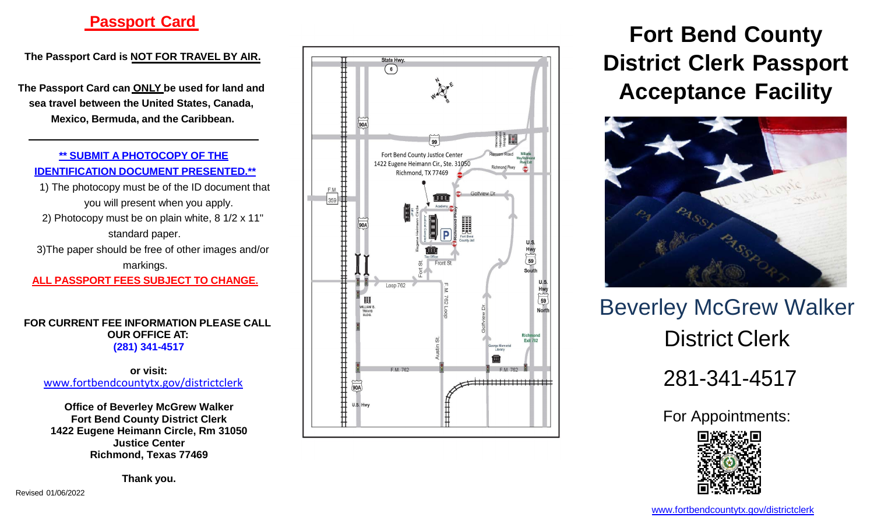# **Passpor t Card**

**Th e Passpor t Car d i s NOT FOR TR AVE L B Y AIR .**

**Th e Passpor t Car d ca n ON LY be used for land and se a trave l betwee n th e Unite d States , Canada, Mexico , Bermuda , an d th e Caribbean.**

**\*\* SUBMIT A PHOTOCOPY OF THE IDENTIFIC ATION DOCUMENT PRESENTED.\*\***

1) Th e photocop y mus t b e o f th e I D documen t that you wil l present whe n you apply. 2) Photocop y mus t b e o n plai n white , 8 1/ 2 x 11" standar d paper.

3)The paper should be free of other images and/or markings.

**ALL PASSPORT FEES SUBJECT TO CHANG E .**

**FO R CURREN T FE E INFORM ATION PLEASE CALL OUR OFFICE AT: (281) 34 1 -4517**

**or visit :** [www.fortbendcountytx.gov/](http://www.fortbendcountytx.gov/)districtclerk

**Office of Beverley McGrew Walker Fort Bend County District Clerk 1422 Eugene Heimann Circle, Rm 31050 Justice Center Richmond, Texas 77469**

**Than k you.**



**For t Ben d County District Clerk Passport Acceptanc e Facility**



Beverley McGrew Walker District Clerk

281 -341 -4517

For Appointments :



Revise d 01/06/2022